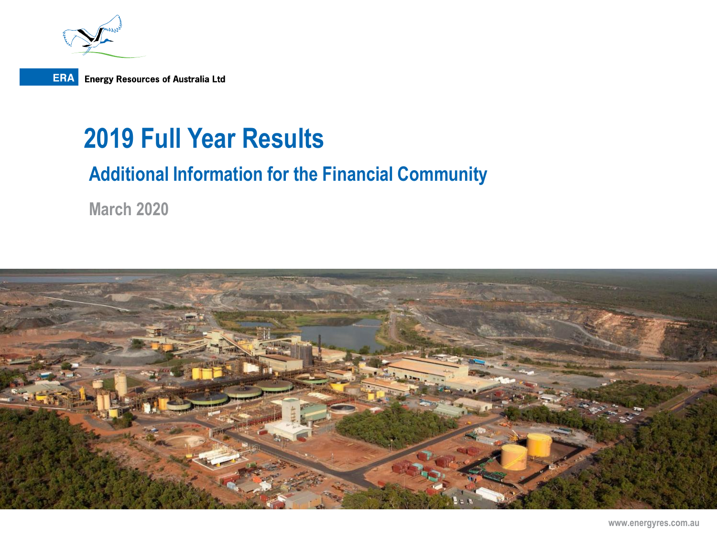

## **2019 Full Year Results**

### **Additional Information for the Financial Community**

**March 2020**

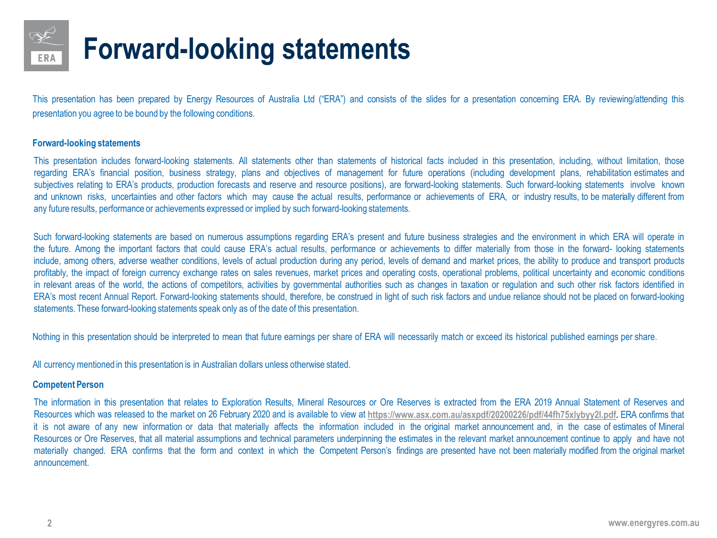

## **Forward-looking statements**

This presentation has been prepared by Energy Resources of Australia Ltd ("ERA") and consists of the slides for a presentation concerning ERA. By reviewing/attending this presentation you agree to be bound by the following conditions.

#### **Forward-looking statements**

This presentation includes forward-looking statements. All statements other than statements of historical facts included in this presentation, including, without limitation, those regarding ERA's financial position, business strategy, plans and objectives of management for future operations (including development plans, rehabilitation estimates and subjectives relating to ERA's products, production forecasts and reserve and resource positions), are forward-looking statements. Such forward-looking statements involve known and unknown risks, uncertainties and other factors which may cause the actual results, performance or achievements of ERA, or industry results, to be materially different from any future results, performance or achievements expressed or implied by such forward-looking statements.

Such forward-looking statements are based on numerous assumptions regarding ERA's present and future business strategies and the environment in which ERA will operate in the future. Among the important factors that could cause ERA's actual results, performance or achievements to differ materially from those in the forward- looking statements include, among others, adverse weather conditions, levels of actual production during any period, levels of demand and market prices, the ability to produce and transport products profitably, the impact of foreign currency exchange rates on sales revenues, market prices and operating costs, operational problems, political uncertainty and economic conditions in relevant areas of the world, the actions of competitors, activities by governmental authorities such as changes in taxation or regulation and such other risk factors identified in ERA's most recent Annual Report. Forward-looking statements should, therefore, be construed in light of such risk factors and undue reliance should not be placed on forward-looking statements. These forward-looking statements speak only as of the date of this presentation.

Nothing in this presentation should be interpreted to mean that future earnings per share of ERA will necessarily match or exceed its historical published earnings per share.

All currency mentioned in this presentation is in Australian dollars unless otherwise stated.

#### **Competent Person**

The information in this presentation that relates to Exploration Results, Mineral Resources or Ore Reserves is extracted from the ERA 2019 Annual Statement of Reserves and Resources which was released to the market on 26 February 2020 and is available to view at **[https://www.asx.com.au/asxpdf/20200226/pdf/44fh75xlybyy2l.pdf.](https://www.asx.com.au/asxpdf/20200226/pdf/44fh75xlybyy2l.pdf)** ERA confirms that it is not aware of any new information or data that materially affects the information included in the original market announcement and, in the case of estimates of Mineral Resources or Ore Reserves, that all material assumptions and technical parameters underpinning the estimates in the relevant market announcement continue to apply and have not materially changed. ERA confirms that the form and context in which the Competent Person's findings are presented have not been materially modified from the original market announcement.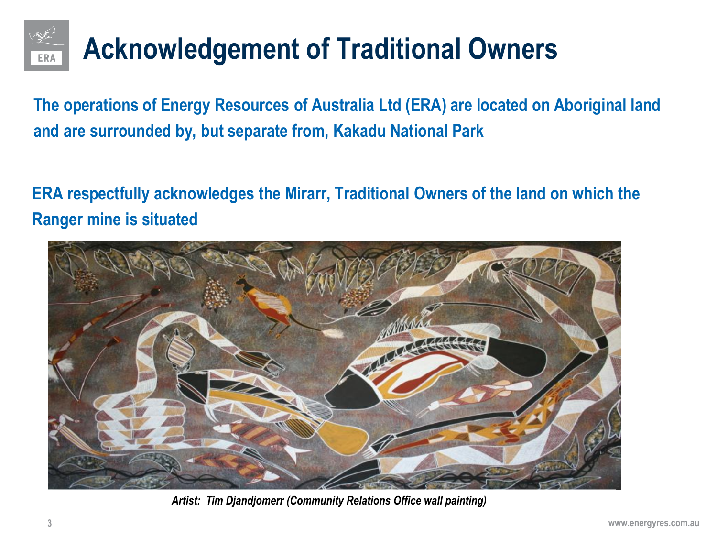

# **Acknowledgement of Traditional Owners**

**The operations of Energy Resources of Australia Ltd (ERA) are located on Aboriginal land and are surrounded by, but separate from, Kakadu National Park**

**ERA respectfully acknowledges the Mirarr, Traditional Owners of the land on which the Ranger mine is situated**



*Artist: Tim Djandjomerr (Community Relations Office wall painting)*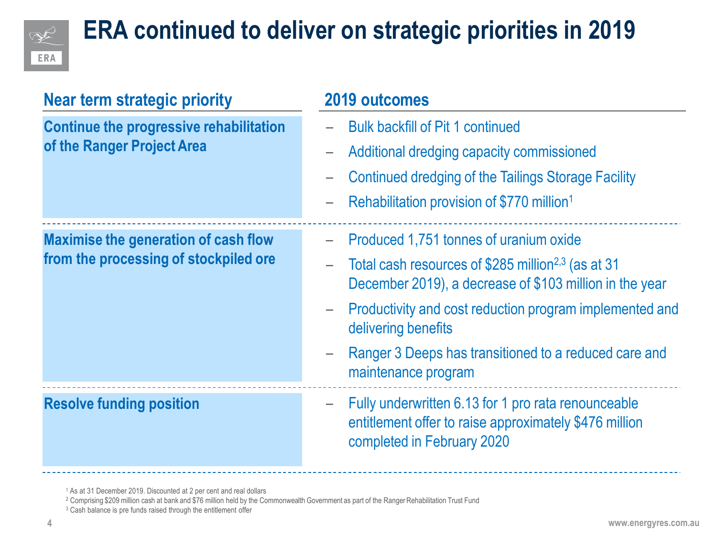

## **ERA continued to deliver on strategic priorities in 2019**

| <b>Near term strategic priority</b>                                                  | 2019 outcomes                                                                                                                                                           |  |
|--------------------------------------------------------------------------------------|-------------------------------------------------------------------------------------------------------------------------------------------------------------------------|--|
| <b>Continue the progressive rehabilitation</b><br>of the Ranger Project Area         | <b>Bulk backfill of Pit 1 continued</b>                                                                                                                                 |  |
|                                                                                      | Additional dredging capacity commissioned                                                                                                                               |  |
|                                                                                      | Continued dredging of the Tailings Storage Facility                                                                                                                     |  |
|                                                                                      | Rehabilitation provision of \$770 million <sup>1</sup>                                                                                                                  |  |
| <b>Maximise the generation of cash flow</b><br>from the processing of stockpiled ore | Produced 1,751 tonnes of uranium oxide                                                                                                                                  |  |
|                                                                                      | Total cash resources of \$285 million <sup>2,3</sup> (as at 31<br>$\overline{\phantom{0}}$<br>December 2019), a decrease of \$103 million in the year                   |  |
|                                                                                      | Productivity and cost reduction program implemented and<br>delivering benefits                                                                                          |  |
|                                                                                      | Ranger 3 Deeps has transitioned to a reduced care and<br>-<br>maintenance program                                                                                       |  |
| <b>Resolve funding position</b>                                                      | Fully underwritten 6.13 for 1 pro rata renounceable<br>$\overline{\phantom{m}}$<br>entitlement offer to raise approximately \$476 million<br>completed in February 2020 |  |

<sup>1</sup> As at 31 December 2019. Discounted at 2 per cent and real dollars

<sup>3</sup> Cash balance is pre funds raised through the entitlement offer

<sup>&</sup>lt;sup>2</sup> Comprising \$209 million cash at bank and \$76 million held by the Commonwealth Government as part of the Ranger Rehabilitation Trust Fund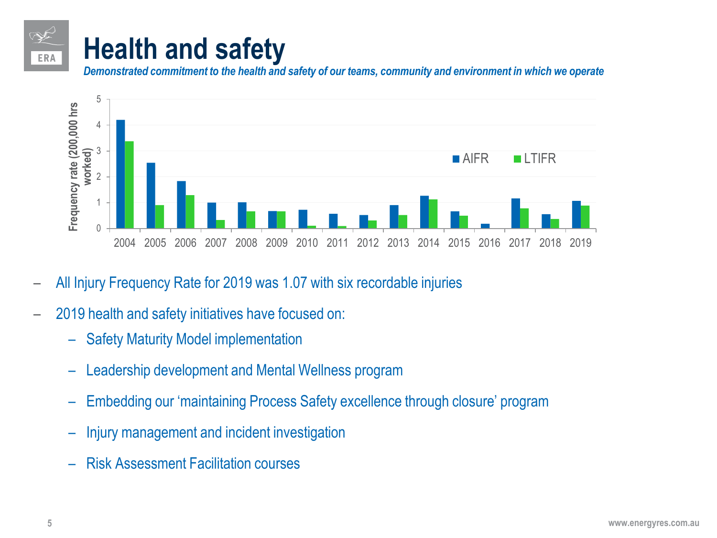## **Health and safety**

*Demonstrated commitment to the health and safety of our teams, community and environment in which we operate*



- All Injury Frequency Rate for 2019 was 1.07 with six recordable injuries
- 2019 health and safety initiatives have focused on:
	- Safety Maturity Model implementation
	- Leadership development and Mental Wellness program
	- Embedding our 'maintaining Process Safety excellence through closure' program
	- Injury management and incident investigation
	- Risk Assessment Facilitation courses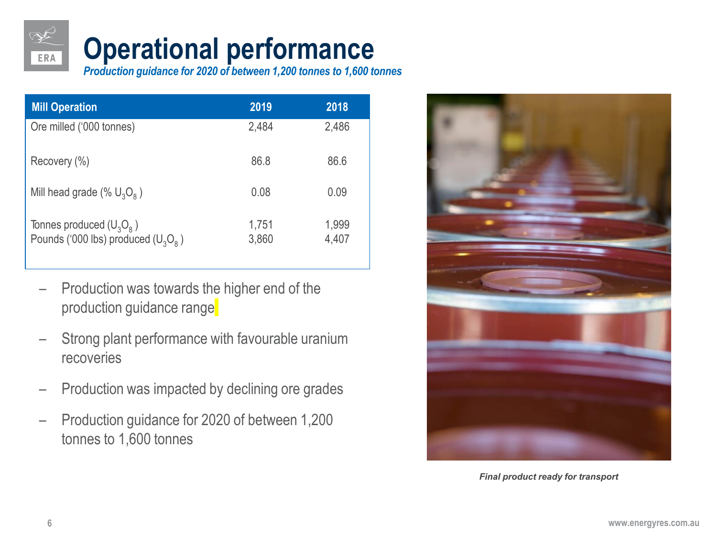## **Operational performance**

*Production guidance for 2020 of between 1,200 tonnes to 1,600 tonnes*

| <b>Mill Operation</b>                                               | 2019           | 2018           |
|---------------------------------------------------------------------|----------------|----------------|
| Ore milled ('000 tonnes)                                            | 2,484          | 2,486          |
| Recovery (%)                                                        | 86.8           | 86.6           |
| Mill head grade (% $U_3O_8$ )                                       | 0.08           | 0.09           |
| Tonnes produced $(U_3O_8)$<br>Pounds ('000 lbs) produced $(U_3O_8)$ | 1,751<br>3,860 | 1,999<br>4,407 |

- Production was towards the higher end of the production guidance range
- Strong plant performance with favourable uranium recoveries
- Production was impacted by declining ore grades
- Production guidance for 2020 of between 1,200 tonnes to 1,600 tonnes



*Final product ready for transport*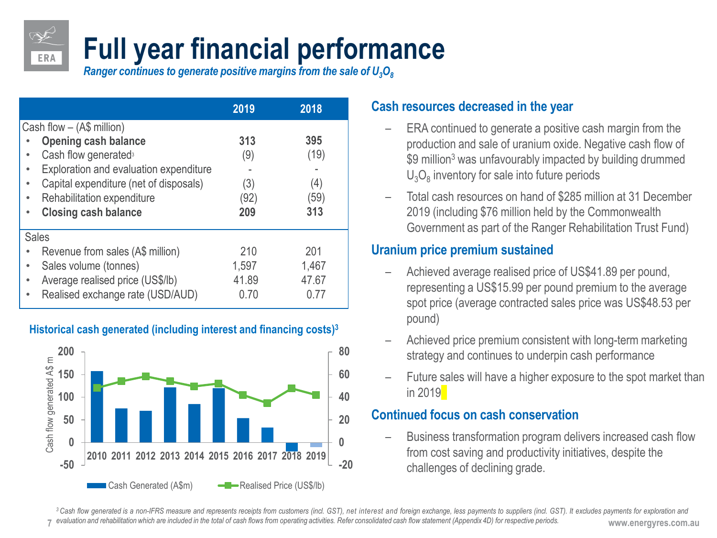# **Full year financial performance**

*Ranger continues to generate positive margins from the sale of U<sub>3</sub>O<sub>8</sub>* 

|                                                                                                                                                                                                                                                                                  | 2019                             | 2018                              |
|----------------------------------------------------------------------------------------------------------------------------------------------------------------------------------------------------------------------------------------------------------------------------------|----------------------------------|-----------------------------------|
| Cash flow $-$ (A\$ million)<br><b>Opening cash balance</b><br>Cash flow generated <sup>3</sup><br>۰<br>Exploration and evaluation expenditure<br>۰<br>Capital expenditure (net of disposals)<br>٠<br>Rehabilitation expenditure<br>$\bullet$<br><b>Closing cash balance</b><br>۰ | 313<br>(9)<br>(3)<br>(92)<br>209 | 395<br>(19)<br>(4)<br>(59)<br>313 |
| <b>Sales</b><br>Revenue from sales (A\$ million)<br>Sales volume (tonnes)<br>٠<br>Average realised price (US\$/lb)<br>$\bullet$<br>Realised exchange rate (USD/AUD)<br>$\bullet$                                                                                                 | 210<br>1,597<br>41.89<br>0.70    | 201<br>1,467<br>47.67<br>ი 77     |

#### **Historical cash generated (including interest and financing costs)3**



#### **Cash resources decreased in the year**

- ERA continued to generate a positive cash margin from the production and sale of uranium oxide. Negative cash flow of \$9 million<sup>3</sup> was unfavourably impacted by building drummed  $U_3O_8$  inventory for sale into future periods
- Total cash resources on hand of \$285 million at 31 December 2019 (including \$76 million held by the Commonwealth Government as part of the Ranger Rehabilitation Trust Fund)

#### **Uranium price premium sustained**

- Achieved average realised price of US\$41.89 per pound, representing a US\$15.99 per pound premium to the average spot price (average contracted sales price was US\$48.53 per pound)
- Achieved price premium consistent with long-term marketing strategy and continues to underpin cash performance
- Future sales will have a higher exposure to the spot market than in 2019

#### **Continued focus on cash conservation**

– Business transformation program delivers increased cash flow from cost saving and productivity initiatives, despite the challenges of declining grade.

<sup>7</sup> evaluation and rehabilitation which are included in the total of cash flows from operating activities. Refer consolidated cash flow statement (Appendix 4D) for respective periods. www.energyres.com.au 3 Cash flow generated is a non-IFRS measure and represents receipts from customers (incl. GST), net interest and foreign exchange, less payments to suppliers (incl. GST). It excludes payments for exploration and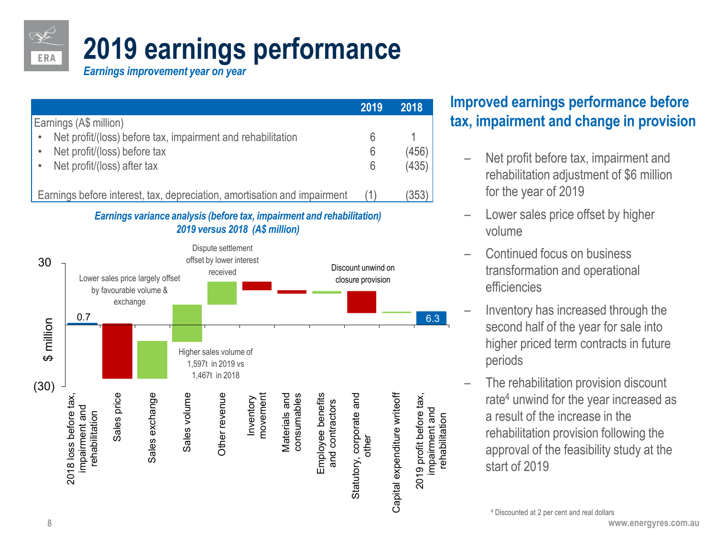# **2019 earnings performance**

*Earnings improvement year on year*

|                                                                          | 2019 | 2018  |
|--------------------------------------------------------------------------|------|-------|
| Earnings (A\$ million)                                                   |      |       |
| Net profit/(loss) before tax, impairment and rehabilitation<br>$\bullet$ |      |       |
| Net profit/(loss) before tax<br>$\bullet$                                | 6    | (456) |
| Net profit/(loss) after tax                                              | 6    | (435) |
|                                                                          |      |       |
| Earnings before interest, tax, depreciation, amortisation and impairment |      | (353) |

#### *Earnings variance analysis (before tax, impairment and rehabilitation) 2019 versus 2018 (A\$ million)*



### **Improved earnings performance before tax, impairment and change in provision**

- Net profit before tax, impairment and rehabilitation adjustment of \$6 million for the year of 2019
- Lower sales price offset by higher volume
- Continued focus on business transformation and operational efficiencies
- Inventory has increased through the second half of the year for sale into higher priced term contracts in future periods
- The rehabilitation provision discount rate<sup>4</sup> unwind for the year increased as a result of the increase in the rehabilitation provision following the approval of the feasibility study at the start of 2019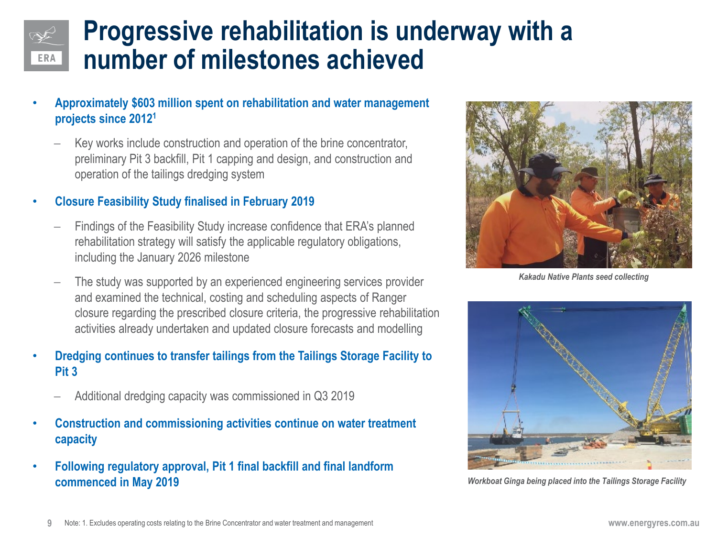## **Progressive rehabilitation is underway with a number of milestones achieved**

- **Approximately \$603 million spent on rehabilitation and water management projects since 20121**
	- Key works include construction and operation of the brine concentrator, preliminary Pit 3 backfill, Pit 1 capping and design, and construction and operation of the tailings dredging system

#### • **Closure Feasibility Study finalised in February 2019**

- Findings of the Feasibility Study increase confidence that ERA's planned rehabilitation strategy will satisfy the applicable regulatory obligations, including the January 2026 milestone
- − The study was supported by an experienced engineering services provider and examined the technical, costing and scheduling aspects of Ranger closure regarding the prescribed closure criteria, the progressive rehabilitation activities already undertaken and updated closure forecasts and modelling
- **Dredging continues to transfer tailings from the Tailings Storage Facility to Pit 3**
	- − Additional dredging capacity was commissioned in Q3 2019
- **Construction and commissioning activities continue on water treatment capacity**
- **Following regulatory approval, Pit 1 final backfill and final landform commenced in May 2019** *commenced in May 2019 Workboat Ginga being placed into the Tailings Storage Facility*



*Kakadu Native Plants seed collecting* 

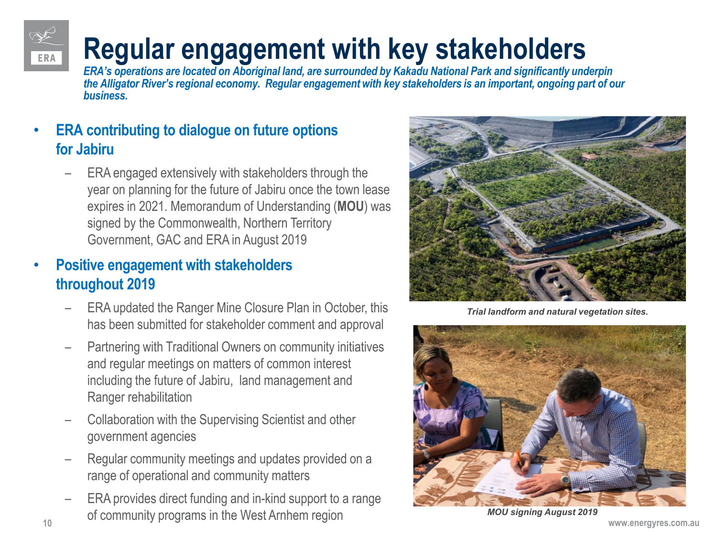

## **Regular engagement with key stakeholders**

*ERA's operations are located on Aboriginal land, are surrounded by Kakadu National Park and significantly underpin the Alligator River's regional economy. Regular engagement with key stakeholders is an important, ongoing part of our business.*

### • **ERA contributing to dialogue on future options for Jabiru**

– ERA engaged extensively with stakeholders through the year on planning for the future of Jabiru once the town lease expires in 2021. Memorandum of Understanding (**MOU**) was signed by the Commonwealth, Northern Territory Government, GAC and ERA in August 2019

### • **Positive engagement with stakeholders throughout 2019**

- ERA updated the Ranger Mine Closure Plan in October, this has been submitted for stakeholder comment and approval
- Partnering with Traditional Owners on community initiatives and regular meetings on matters of common interest including the future of Jabiru, land management and Ranger rehabilitation
- Collaboration with the Supervising Scientist and other government agencies
- Regular community meetings and updates provided on a range of operational and community matters
- **10 www.energyres.com.au** – ERA provides direct funding and in-kind support to a range of community programs in the West Arnhem region



*Trial landform and natural vegetation sites.* 



*MOU signing August 2019*